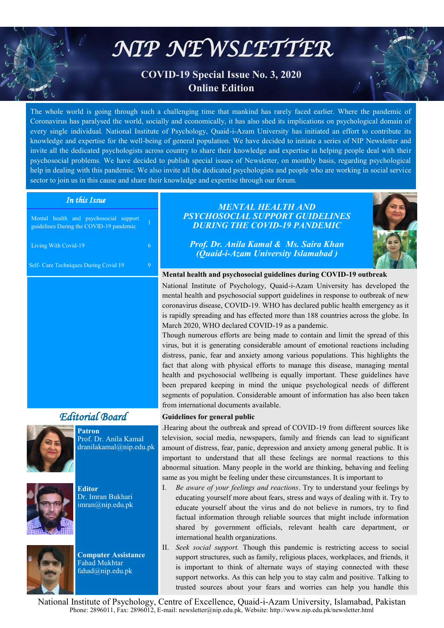# *NIP NEWSLETTER*

# **COVID-19 Special Issue No. 3, 2020 Online Edition**

The whole world is going through such a challenging time that mankind has rarely faced earlier. Where the pandemic of Coronavirus has paralysed the world, socially and economically, it has also shed its implications on psychological domain of every single individual. National Institute of Psychology, Quaid-i-Azam University has initiated an effort to contribute its knowledge and expertise for the well-being of general population. We have decided to initiate a series of NIP Newsletter and invite all the dedicated psychologists across country to share their knowledge and expertise in helping people deal with their psychosocial problems. We have decided to publish special issues of Newsletter, on monthly basis, regarding psychological help in dealing with this pandemic. We also invite all the dedicated psychologists and people who are working in social service sector to join us in this cause and share their knowledge and expertise through our forum.

# *In this Issue*

Mental health and psychosocial support guidelines During the COVID-19 pandemic

Living With Covid-19 6

Self- Care Techniques During Covid 19 9

# *Editorial Board*



**Patron** Prof. Dr. Anila Kamal dranilakamal@nip.edu.pk







**Computer Assistance** Fahad Mukhtar fahad@nip.edu.pk

# *MENTAL HEALTH AND PSYCHOSOCIAL SUPPORT GUIDELINES DURING THE COVID-19 PANDEMIC*

*Prof. Dr. Anila Kamal & Ms. Saira Khan (Quaid-i-Azam University Islamabad )* 



# **Mental health and psychosocial guidelines during COVID-19 outbreak**

National Institute of Psychology, Quaid-i-Azam University has developed the mental health and psychosocial support guidelines in response to outbreak of new coronavirus disease, COVID-19. WHO has declared public health emergency as it is rapidly spreading and has effected more than 188 countries across the globe. In March 2020, WHO declared COVID-19 as a pandemic.

Though numerous efforts are being made to contain and limit the spread of this virus, but it is generating considerable amount of emotional reactions including distress, panic, fear and anxiety among various populations. This highlights the fact that along with physical efforts to manage this disease, managing mental health and psychosocial wellbeing is equally important. These guidelines have been prepared keeping in mind the unique psychological needs of different segments of population. Considerable amount of information has also been taken from international documents available.

## **Guidelines for general public**

**{{**Hearing about the outbreak and spread of COVID-19 from different sources like television, social media, newspapers, family and friends can lead to significant amount of distress, fear, panic, depression and anxiety among general public. It is important to understand that all these feelings are normal reactions to this abnormal situation. Many people in the world are thinking, behaving and feeling same as you might be feeling under these circumstances. It is important to

- I. *Be aware of your feelings and reactions*. Try to understand your feelings by educating yourself more about fears, stress and ways of dealing with it. Try to educate yourself about the virus and do not believe in rumors, try to find factual information through reliable sources that might include information shared by government officials, relevant health care department, or international health organizations.
- II. *Seek social support.* Though this pandemic is restricting access to social support structures, such as family, religious places, workplaces, and friends, it is important to think of alternate ways of staying connected with these support networks. As this can help you to stay calm and positive. Talking to trusted sources about your fears and worries can help you handle this

National Institute of Psychology, Centre of Excellence, Quaid-i-Azam University, Islamabad, Pakistan Phone: 2896011, Fax: 2896012, E-mail: newsletter@nip.edu.pk, Website: http://www.nip.edu.pk/newsletter.html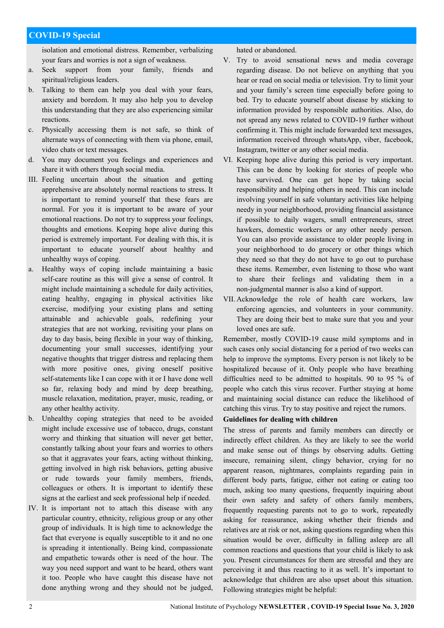isolation and emotional distress. Remember, verbalizing your fears and worries is not a sign of weakness.

- a. Seek support from your family, friends and spiritual/religious leaders.
- b. Talking to them can help you deal with your fears, anxiety and boredom. It may also help you to develop this understanding that they are also experiencing similar reactions.
- c. Physically accessing them is not safe, so think of alternate ways of connecting with them via phone, email, video chats or text messages.
- d. You may document you feelings and experiences and share it with others through social media.
- III. Feeling uncertain about the situation and getting apprehensive are absolutely normal reactions to stress. It is important to remind yourself that these fears are normal. For you it is important to be aware of your emotional reactions. Do not try to suppress your feelings, thoughts and emotions. Keeping hope alive during this period is extremely important. For dealing with this, it is important to educate yourself about healthy and unhealthy ways of coping.
- a. Healthy ways of coping include maintaining a basic self-care routine as this will give a sense of control. It might include maintaining a schedule for daily activities, eating healthy, engaging in physical activities like exercise, modifying your existing plans and setting attainable and achievable goals, redefining your strategies that are not working, revisiting your plans on day to day basis, being flexible in your way of thinking, documenting your small successes, identifying your negative thoughts that trigger distress and replacing them with more positive ones, giving oneself positive self-statements like I can cope with it or I have done well so far, relaxing body and mind by deep breathing, muscle relaxation, meditation, prayer, music, reading, or any other healthy activity.
- b. Unhealthy coping strategies that need to be avoided might include excessive use of tobacco, drugs, constant worry and thinking that situation will never get better, constantly talking about your fears and worries to others so that it aggravates your fears, acting without thinking, getting involved in high risk behaviors, getting abusive or rude towards your family members, friends, colleagues or others. It is important to identify these signs at the earliest and seek professional help if needed.
- IV. It is important not to attach this disease with any particular country, ethnicity, religious group or any other group of individuals. It is high time to acknowledge the fact that everyone is equally susceptible to it and no one is spreading it intentionally. Being kind, compassionate and empathetic towards other is need of the hour. The way you need support and want to be heard, others want it too. People who have caught this disease have not done anything wrong and they should not be judged,

hated or abandoned.

- V. Try to avoid sensational news and media coverage regarding disease. Do not believe on anything that you hear or read on social media or television. Try to limit your and your family's screen time especially before going to bed. Try to educate yourself about disease by sticking to information provided by responsible authorities. Also, do not spread any news related to COVID-19 further without confirming it. This might include forwarded text messages, information received through whatsApp, viber, facebook, Instagram, twitter or any other social media.
- VI. Keeping hope alive during this period is very important. This can be done by looking for stories of people who have survived. One can get hope by taking social responsibility and helping others in need. This can include involving yourself in safe voluntary activities like helping needy in your neighborhood, providing financial assistance if possible to daily wagers, small entrepreneurs, street hawkers, domestic workers or any other needy person. You can also provide assistance to older people living in your neighborhood to do grocery or other things which they need so that they do not have to go out to purchase these items. Remember, even listening to those who want to share their feelings and validating them in a non-judgmental manner is also a kind of support.
- VII. Acknowledge the role of health care workers, law enforcing agencies, and volunteers in your community. They are doing their best to make sure that you and your loved ones are safe.

Remember, mostly COVID-19 cause mild symptoms and in such cases only social distancing for a period of two weeks can help to improve the symptoms. Every person is not likely to be hospitalized because of it. Only people who have breathing difficulties need to be admitted to hospitals. 90 to 95 % of people who catch this virus recover. Further staying at home and maintaining social distance can reduce the likelihood of catching this virus. Try to stay positive and reject the rumors.

## **Guidelines for dealing with children**

The stress of parents and family members can directly or indirectly effect children. As they are likely to see the world and make sense out of things by observing adults. Getting insecure, remaining silent, clingy behavior, crying for no apparent reason, nightmares, complaints regarding pain in different body parts, fatigue, either not eating or eating too much, asking too many questions, frequently inquiring about their own safety and safety of others family members, frequently requesting parents not to go to work, repeatedly asking for reassurance, asking whether their friends and relatives are at risk or not, asking questions regarding when this situation would be over, difficulty in falling asleep are all common reactions and questions that your child is likely to ask you. Present circumstances for them are stressful and they are perceiving it and thus reacting to it as well. It's important to acknowledge that children are also upset about this situation. Following strategies might be helpful: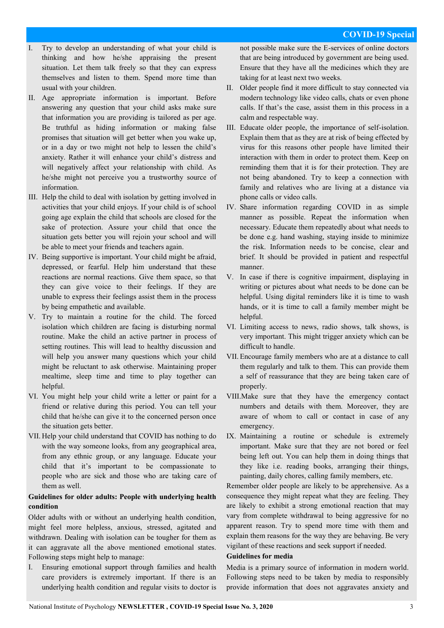- Try to develop an understanding of what your child is thinking and how he/she appraising the present situation. Let them talk freely so that they can express themselves and listen to them. Spend more time than usual with your children.
- II. Age appropriate information is important. Before answering any question that your child asks make sure that information you are providing is tailored as per age. Be truthful as hiding information or making false promises that situation will get better when you wake up, or in a day or two might not help to lessen the child's anxiety. Rather it will enhance your child's distress and will negatively affect your relationship with child. As he/she might not perceive you a trustworthy source of information.
- III. Help the child to deal with isolation by getting involved in activities that your child enjoys. If your child is of school going age explain the child that schools are closed for the sake of protection. Assure your child that once the situation gets better you will rejoin your school and will be able to meet your friends and teachers again.
- IV. Being supportive is important. Your child might be afraid, depressed, or fearful. Help him understand that these reactions are normal reactions. Give them space, so that they can give voice to their feelings. If they are unable to express their feelings assist them in the process by being empathetic and available.
- V. Try to maintain a routine for the child. The forced isolation which children are facing is disturbing normal routine. Make the child an active partner in process of setting routines. This will lead to healthy discussion and will help you answer many questions which your child might be reluctant to ask otherwise. Maintaining proper mealtime, sleep time and time to play together can helpful.
- VI. You might help your child write a letter or paint for a friend or relative during this period. You can tell your child that he/she can give it to the concerned person once the situation gets better.
- VII. Help your child understand that COVID has nothing to do with the way someone looks, from any geographical area, from any ethnic group, or any language. Educate your child that it's important to be compassionate to people who are sick and those who are taking care of them as well.

# **Guidelines for older adults: People with underlying health condition**

Older adults with or without an underlying health condition, might feel more helpless, anxious, stressed, agitated and withdrawn. Dealing with isolation can be tougher for them as it can aggravate all the above mentioned emotional states. Following steps might help to manage:

I. Ensuring emotional support through families and health care providers is extremely important. If there is an underlying health condition and regular visits to doctor is not possible make sure the E-services of online doctors that are being introduced by government are being used. Ensure that they have all the medicines which they are taking for at least next two weeks.

- II. Older people find it more difficult to stay connected via modern technology like video calls, chats or even phone calls. If that's the case, assist them in this process in a calm and respectable way.
- III. Educate older people, the importance of self-isolation. Explain them that as they are at risk of being effected by virus for this reasons other people have limited their interaction with them in order to protect them. Keep on reminding them that it is for their protection. They are not being abandoned. Try to keep a connection with family and relatives who are living at a distance via phone calls or video calls.
- IV. Share information regarding COVID in as simple manner as possible. Repeat the information when necessary. Educate them repeatedly about what needs to be done e.g. hand washing, staying inside to minimize the risk. Information needs to be concise, clear and brief. It should be provided in patient and respectful manner.
- V. In case if there is cognitive impairment, displaying in writing or pictures about what needs to be done can be helpful. Using digital reminders like it is time to wash hands, or it is time to call a family member might be helpful.
- VI. Limiting access to news, radio shows, talk shows, is very important. This might trigger anxiety which can be difficult to handle.
- VII. Encourage family members who are at a distance to call them regularly and talk to them. This can provide them a self of reassurance that they are being taken care of properly.
- VIII.Make sure that they have the emergency contact numbers and details with them. Moreover, they are aware of whom to call or contact in case of any emergency.
- IX. Maintaining a routine or schedule is extremely important. Make sure that they are not bored or feel being left out. You can help them in doing things that they like i.e. reading books, arranging their things, painting, daily chores, calling family members, etc.

Remember older people are likely to be apprehensive. As a consequence they might repeat what they are feeling. They are likely to exhibit a strong emotional reaction that may vary from complete withdrawal to being aggressive for no apparent reason. Try to spend more time with them and explain them reasons for the way they are behaving. Be very vigilant of these reactions and seek support if needed.

#### **Guidelines for media**

Media is a primary source of information in modern world. Following steps need to be taken by media to responsibly provide information that does not aggravates anxiety and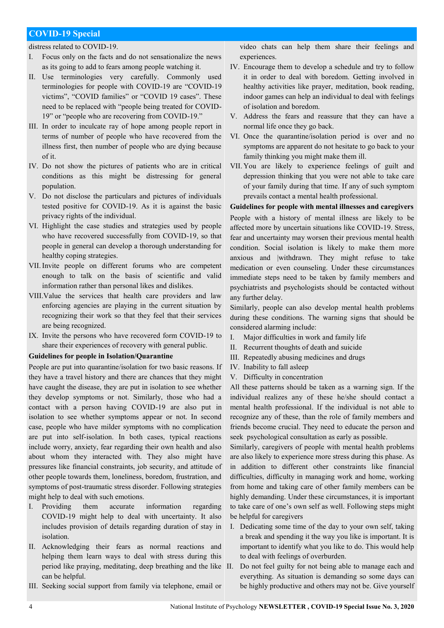distress related to COVID-19.

- I. Focus only on the facts and do not sensationalize the news as its going to add to fears among people watching it.
- II. Use terminologies very carefully. Commonly used terminologies for people with COVID-19 are "COVID-19 victims", "COVID families" or "COVID 19 cases". These need to be replaced with "people being treated for COVID-19" or "people who are recovering from COVID-19."
- III. In order to inculcate ray of hope among people report in terms of number of people who have recovered from the illness first, then number of people who are dying because of it.
- IV. Do not show the pictures of patients who are in critical conditions as this might be distressing for general population.
- V. Do not disclose the particulars and pictures of individuals tested positive for COVID-19. As it is against the basic privacy rights of the individual.
- VI. Highlight the case studies and strategies used by people who have recovered successfully from COVID-19, so that people in general can develop a thorough understanding for healthy coping strategies.
- VII.Invite people on different forums who are competent enough to talk on the basis of scientific and valid information rather than personal likes and dislikes.
- VIII.Value the services that health care providers and law enforcing agencies are playing in the current situation by recognizing their work so that they feel that their services are being recognized.
- IX. Invite the persons who have recovered form COVID-19 to share their experiences of recovery with general public.

#### **Guidelines for people in Isolation/Quarantine**

People are put into quarantine/isolation for two basic reasons. If they have a travel history and there are chances that they might have caught the disease, they are put in isolation to see whether they develop symptoms or not. Similarly, those who had a contact with a person having COVID-19 are also put in isolation to see whether symptoms appear or not. In second case, people who have milder symptoms with no complication are put into self-isolation. In both cases, typical reactions include worry, anxiety, fear regarding their own health and also about whom they interacted with. They also might have pressures like financial constraints, job security, and attitude of other people towards them, loneliness, boredom, frustration, and symptoms of post-traumatic stress disorder. Following strategies might help to deal with such emotions.

- I. Providing them accurate information regarding COVID-19 might help to deal with uncertainty. It also includes provision of details regarding duration of stay in isolation.
- II. Acknowledging their fears as normal reactions and helping them learn ways to deal with stress during this period like praying, meditating, deep breathing and the like can be helpful.
- III. Seeking social support from family via telephone, email or

video chats can help them share their feelings and experiences.

- IV. Encourage them to develop a schedule and try to follow it in order to deal with boredom. Getting involved in healthy activities like prayer, meditation, book reading, indoor games can help an individual to deal with feelings of isolation and boredom.
- V. Address the fears and reassure that they can have a normal life once they go back.
- VI. Once the quarantine/isolation period is over and no symptoms are apparent do not hesitate to go back to your family thinking you might make them ill.
- VII. You are likely to experience feelings of guilt and depression thinking that you were not able to take care of your family during that time. If any of such symptom prevails contact a mental health professional.

# **Guidelines for people with mental illnesses and caregivers**  People with a history of mental illness are likely to be affected more by uncertain situations like COVID-19. Stress, fear and uncertainty may worsen their previous mental health condition. Social isolation is likely to make them more anxious and |withdrawn. They might refuse to take medication or even counseling. Under these circumstances immediate steps need to be taken by family members and psychiatrists and psychologists should be contacted without any further delay.

Similarly, people can also develop mental health problems during these conditions. The warning signs that should be considered alarming include:

- I. Major difficulties in work and family life
- II. Recurrent thoughts of death and suicide
- III. Repeatedly abusing medicines and drugs
- IV. Inability to fall asleep
- V. Difficulty in concentration

All these patterns should be taken as a warning sign. If the individual realizes any of these he/she should contact a mental health professional. If the individual is not able to recognize any of these, than the role of family members and friends become crucial. They need to educate the person and seek psychological consultation as early as possible.

Similarly, caregivers of people with mental health problems are also likely to experience more stress during this phase. As in addition to different other constraints like financial difficulties, difficulty in managing work and home, working from home and taking care of other family members can be highly demanding. Under these circumstances, it is important to take care of one's own self as well. Following steps might be helpful for caregivers

- I. Dedicating some time of the day to your own self, taking a break and spending it the way you like is important. It is important to identify what you like to do. This would help to deal with feelings of overburden.
- Do not feel guilty for not being able to manage each and everything. As situation is demanding so some days can be highly productive and others may not be. Give yourself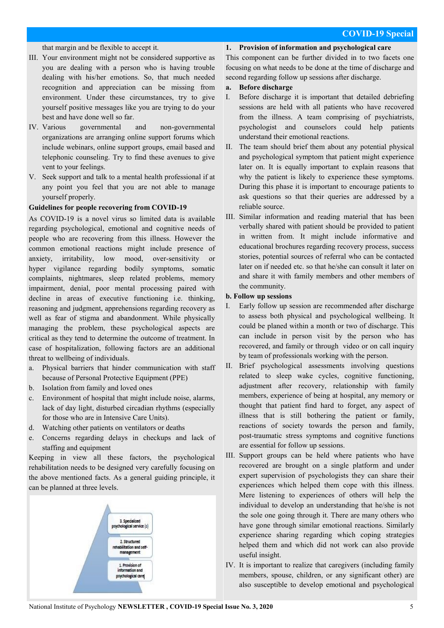that margin and be flexible to accept it.

- III. Your environment might not be considered supportive as you are dealing with a person who is having trouble dealing with his/her emotions. So, that much needed recognition and appreciation can be missing from environment. Under these circumstances, try to give yourself positive messages like you are trying to do your best and have done well so far.
- IV. Various governmental and non-governmental organizations are arranging online support forums which include webinars, online support groups, email based and telephonic counseling. Try to find these avenues to give vent to your feelings.
- V. Seek support and talk to a mental health professional if at any point you feel that you are not able to manage yourself properly.

#### **Guidelines for people recovering from COVID-19**

As COVID-19 is a novel virus so limited data is available regarding psychological, emotional and cognitive needs of people who are recovering from this illness. However the common emotional reactions might include presence of anxiety, irritability, low mood, over-sensitivity or hyper vigilance regarding bodily symptoms, somatic complaints, nightmares, sleep related problems, memory impairment, denial, poor mental processing paired with decline in areas of executive functioning i.e. thinking, reasoning and judgment, apprehensions regarding recovery as well as fear of stigma and abandonment. While physically managing the problem, these psychological aspects are critical as they tend to determine the outcome of treatment. In case of hospitalization, following factors are an additional threat to wellbeing of individuals.

- a. Physical barriers that hinder communication with staff because of Personal Protective Equipment (PPE)
- b. Isolation from family and loved ones
- c. Environment of hospital that might include noise, alarms, lack of day light, disturbed circadian rhythms (especially for those who are in Intensive Care Units).
- d. Watching other patients on ventilators or deaths
- e. Concerns regarding delays in checkups and lack of staffing and equipment

Keeping in view all these factors, the psychological rehabilitation needs to be designed very carefully focusing on the above mentioned facts. As a general guiding principle, it can be planned at three levels.



#### **1. Provision of information and psychological care**

This component can be further divided in to two facets one focusing on what needs to be done at the time of discharge and second regarding follow up sessions after discharge.

#### **a. Before discharge**

- I. Before discharge it is important that detailed debriefing sessions are held with all patients who have recovered from the illness. A team comprising of psychiatrists, psychologist and counselors could help patients understand their emotional reactions.
- II. The team should brief them about any potential physical and psychological symptom that patient might experience later on. It is equally important to explain reasons that why the patient is likely to experience these symptoms. During this phase it is important to encourage patients to ask questions so that their queries are addressed by a reliable source.
- III. Similar information and reading material that has been verbally shared with patient should be provided to patient in written from. It might include informative and educational brochures regarding recovery process, success stories, potential sources of referral who can be contacted later on if needed etc. so that he/she can consult it later on and share it with family members and other members of the community.

#### **b. Follow up sessions**

- I. Early follow up session are recommended after discharge to assess both physical and psychological wellbeing. It could be planed within a month or two of discharge. This can include in person visit by the person who has recovered, and family or through video or on call inquiry by team of professionals working with the person.
- II. Brief psychological assessments involving questions related to sleep wake cycles, cognitive functioning, adjustment after recovery, relationship with family members, experience of being at hospital, any memory or thought that patient find hard to forget, any aspect of illness that is still bothering the patient or family, reactions of society towards the person and family, post-traumatic stress symptoms and cognitive functions are essential for follow up sessions.
- III. Support groups can be held where patients who have recovered are brought on a single platform and under expert supervision of psychologists they can share their experiences which helped them cope with this illness. Mere listening to experiences of others will help the individual to develop an understanding that he/she is not the sole one going through it. There are many others who have gone through similar emotional reactions. Similarly experience sharing regarding which coping strategies helped them and which did not work can also provide useful insight.
- IV. It is important to realize that caregivers (including family members, spouse, children, or any significant other) are also susceptible to develop emotional and psychological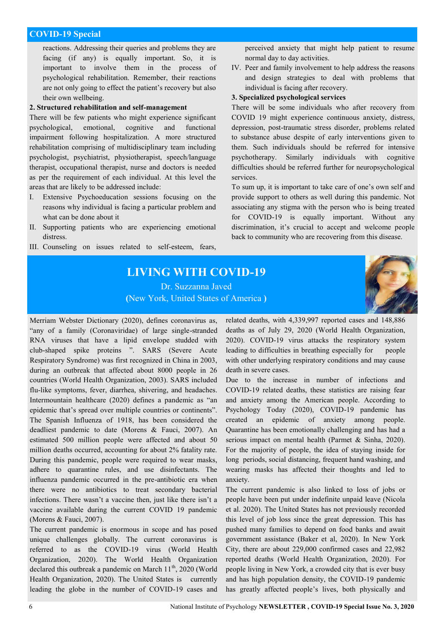reactions. Addressing their queries and problems they are facing (if any) is equally important. So, it is important to involve them in the process of psychological rehabilitation. Remember, their reactions are not only going to effect the patient's recovery but also their own wellbeing.

# **2. Structured rehabilitation and self-management**

There will be few patients who might experience significant psychological, emotional, cognitive and functional impairment following hospitalization. A more structured rehabilitation comprising of multidisciplinary team including psychologist, psychiatrist, physiotherapist, speech/language therapist, occupational therapist, nurse and doctors is needed as per the requirement of each individual. At this level the areas that are likely to be addressed include:

- I. Extensive Psychoeducation sessions focusing on the reasons why individual is facing a particular problem and what can be done about it
- II. Supporting patients who are experiencing emotional distress.
- III. Counseling on issues related to self-esteem, fears,

perceived anxiety that might help patient to resume normal day to day activities.

IV. Peer and family involvement to help address the reasons and design strategies to deal with problems that individual is facing after recovery.

#### **3. Specialized psychological services**

There will be some individuals who after recovery from COVID 19 might experience continuous anxiety, distress, depression, post-traumatic stress disorder, problems related to substance abuse despite of early interventions given to them. Such individuals should be referred for intensive psychotherapy. Similarly individuals with cognitive difficulties should be referred further for neuropsychological services.

To sum up, it is important to take care of one's own self and provide support to others as well during this pandemic. Not associating any stigma with the person who is being treated for COVID-19 is equally important. Without any discrimination, it's crucial to accept and welcome people back to community who are recovering from this disease.

# **LIVING WITH COVID-19**  Dr. Suzzanna Javed



**(**New York, United States of America **)**

Merriam Webster Dictionary (2020), defines coronavirus as, "any of a family (Coronaviridae) of large single-stranded RNA viruses that have a lipid envelope studded with club-shaped spike proteins ". SARS (Severe Acute Respiratory Syndrome) was first recognized in China in 2003, during an outbreak that affected about 8000 people in 26 countries (World Health Organization, 2003). SARS included flu-like symptoms, fever, diarrhea, shivering, and headaches. Intermountain healthcare  $(2020)$  defines a pandemic as "an epidemic that's spread over multiple countries or continents". The Spanish Influenza of 1918, has been considered the deadliest pandemic to date (Morens & Fauci, 2007). An estimated 500 million people were affected and about 50 million deaths occurred, accounting for about 2% fatality rate. During this pandemic, people were required to wear masks, adhere to quarantine rules, and use disinfectants. The influenza pandemic occurred in the pre-antibiotic era when there were no antibiotics to treat secondary bacterial infections. There wasn't a vaccine then, just like there isn't a vaccine available during the current COVID 19 pandemic (Morens & Fauci, 2007).

The current pandemic is enormous in scope and has posed unique challenges globally. The current coronavirus is referred to as the COVID-19 virus (World Health Organization, 2020). The World Health Organization declared this outbreak a pandemic on March  $11^{th}$ , 2020 (World Health Organization, 2020). The United States is currently leading the globe in the number of COVID-19 cases and related deaths, with 4,339,997 reported cases and 148,886 deaths as of July 29, 2020 (World Health Organization, 2020). COVID-19 virus attacks the respiratory system leading to difficulties in breathing especially for people with other underlying respiratory conditions and may cause death in severe cases.

Due to the increase in number of infections and COVID-19 related deaths, these statistics are raising fear and anxiety among the American people. According to Psychology Today (2020), COVID-19 pandemic has created an epidemic of anxiety among people. Quarantine has been emotionally challenging and has had a serious impact on mental health (Parmet & Sinha, 2020). For the majority of people, the idea of staying inside for long periods, social distancing, frequent hand washing, and wearing masks has affected their thoughts and led to anxiety.

The current pandemic is also linked to loss of jobs or people have been put under indefinite unpaid leave (Nicola et al. 2020). The United States has not previously recorded this level of job loss since the great depression. This has pushed many families to depend on food banks and await government assistance (Baker et al, 2020). In New York City, there are about 229,000 confirmed cases and 22,982 reported deaths (World Health Organization, 2020). For people living in New York, a crowded city that is ever busy and has high population density, the COVID-19 pandemic has greatly affected people's lives, both physically and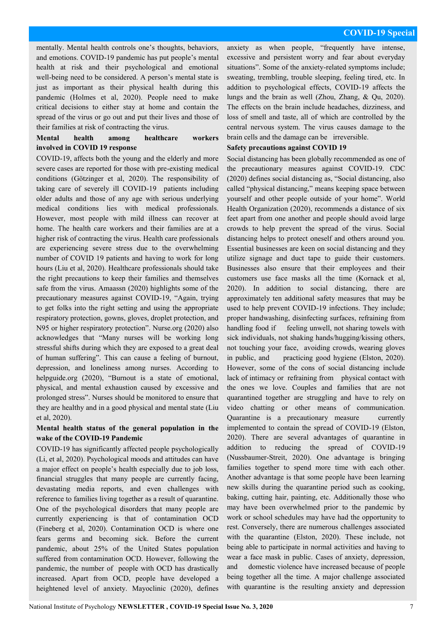mentally. Mental health controls one's thoughts, behaviors, and emotions. COVID-19 pandemic has put people's mental health at risk and their psychological and emotional well-being need to be considered. A person's mental state is just as important as their physical health during this pandemic (Holmes et al, 2020). People need to make critical decisions to either stay at home and contain the spread of the virus or go out and put their lives and those of their families at risk of contracting the virus.

## **Mental health among healthcare workers involved in COVID 19 response**

COVID-19, affects both the young and the elderly and more severe cases are reported for those with pre-existing medical conditions (Götzinger et al, 2020). The responsibility of taking care of severely ill COVID-19 patients including older adults and those of any age with serious underlying medical conditions lies with medical professionals. However, most people with mild illness can recover at home. The health care workers and their families are at a higher risk of contracting the virus. Health care professionals are experiencing severe stress due to the overwhelming number of COVID 19 patients and having to work for long hours (Liu et al, 2020). Healthcare professionals should take the right precautions to keep their families and themselves safe from the virus. Amaassn (2020) highlights some of the precautionary measures against COVID-19, "Again, trying to get folks into the right setting and using the appropriate respiratory protection, gowns, gloves, droplet protection, and N95 or higher respiratory protection". Nurse.org (2020) also acknowledges that "Many nurses will be working long stressful shifts during which they are exposed to a great deal of human suffering". This can cause a feeling of burnout, depression, and loneliness among nurses. According to helpguide.org (2020), "Burnout is a state of emotional, physical, and mental exhaustion caused by excessive and prolonged stress‖. Nurses should be monitored to ensure that they are healthy and in a good physical and mental state (Liu et al, 2020).

## **Mental health status of the general population in the wake of the COVID-19 Pandemic**

COVID-19 has significantly affected people psychologically (Li, et al, 2020). Psychological moods and attitudes can have a major effect on people's health especially due to job loss, financial struggles that many people are currently facing, devastating media reports, and even challenges with reference to families living together as a result of quarantine. One of the psychological disorders that many people are currently experiencing is that of contamination OCD (Fineberg et al, 2020). Contamination OCD is where one fears germs and becoming sick. Before the current pandemic, about 25% of the United States population suffered from contamination OCD. However, following the pandemic, the number of people with OCD has drastically increased. Apart from OCD, people have developed a heightened level of anxiety. Mayoclinic (2020), defines anxiety as when people, "frequently have intense, excessive and persistent worry and fear about everyday situations". Some of the anxiety-related symptoms include; sweating, trembling, trouble sleeping, feeling tired, etc. In addition to psychological effects, COVID-19 affects the lungs and the brain as well (Zhou, Zhang, & Qu, 2020). The effects on the brain include headaches, dizziness, and loss of smell and taste, all of which are controlled by the central nervous system. The virus causes damage to the brain cells and the damage can be irreversible.

#### **Safety precautions against COVID 19**

Social distancing has been globally recommended as one of the precautionary measures against COVID-19. CDC (2020) defines social distancing as, "Social distancing, also called "physical distancing," means keeping space between yourself and other people outside of your home". World Health Organization (2020), recommends a distance of six feet apart from one another and people should avoid large crowds to help prevent the spread of the virus. Social distancing helps to protect oneself and others around you. Essential businesses are keen on social distancing and they utilize signage and duct tape to guide their customers. Businesses also ensure that their employees and their customers use face masks all the time (Kornack et al, 2020). In addition to social distancing, there are approximately ten additional safety measures that may be used to help prevent COVID-19 infections. They include; proper handwashing, disinfecting surfaces, refraining from handling food if feeling unwell, not sharing towels with sick individuals, not shaking hands/hugging/kissing others, not touching your face, avoiding crowds, wearing gloves in public, and practicing good hygiene (Elston, 2020). However, some of the cons of social distancing include lack of intimacy or refraining from physical contact with the ones we love. Couples and families that are not quarantined together are struggling and have to rely on video chatting or other means of communication. Quarantine is a precautionary measure currently implemented to contain the spread of COVID-19 (Elston, 2020). There are several advantages of quarantine in addition to reducing the spread of COVID-19 (Nussbaumer‐Streit, 2020). One advantage is bringing families together to spend more time with each other. Another advantage is that some people have been learning new skills during the quarantine period such as cooking, baking, cutting hair, painting, etc. Additionally those who may have been overwhelmed prior to the pandemic by work or school schedules may have had the opportunity to rest. Conversely, there are numerous challenges associated with the quarantine (Elston, 2020). These include, not being able to participate in normal activities and having to wear a face mask in public. Cases of anxiety, depression, and domestic violence have increased because of people being together all the time. A major challenge associated with quarantine is the resulting anxiety and depression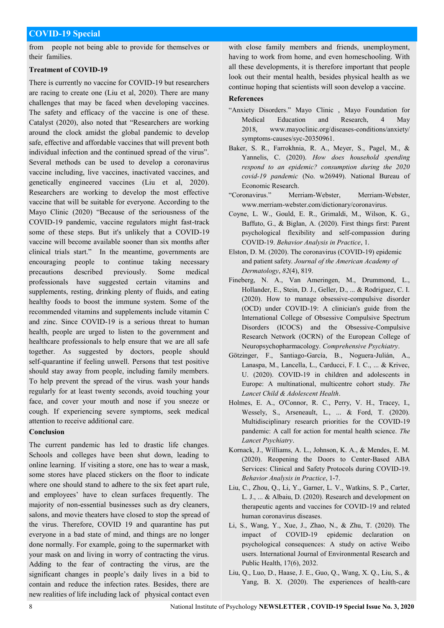from people not being able to provide for themselves or their families.

## **Treatment of COVID-19**

There is currently no vaccine for COVID-19 but researchers are racing to create one (Liu et al, 2020). There are many challenges that may be faced when developing vaccines. The safety and efficacy of the vaccine is one of these. Catalyst (2020), also noted that "Researchers are working around the clock amidst the global pandemic to develop safe, effective and affordable vaccines that will prevent both individual infection and the continued spread of the virus". Several methods can be used to develop a coronavirus vaccine including, live vaccines, inactivated vaccines, and genetically engineered vaccines (Liu et al, 2020). Researchers are working to develop the most effective vaccine that will be suitable for everyone. According to the Mayo Clinic (2020) "Because of the seriousness of the COVID-19 pandemic, vaccine regulators might fast-track some of these steps. But it's unlikely that a COVID-19 vaccine will become available sooner than six months after clinical trials start." In the meantime, governments are encouraging people to continue taking necessary precautions described previously. Some medical professionals have suggested certain vitamins and supplements, resting, drinking plenty of fluids, and eating healthy foods to boost the immune system. Some of the recommended vitamins and supplements include vitamin C and zinc. Since COVID-19 is a serious threat to human health, people are urged to listen to the government and healthcare professionals to help ensure that we are all safe together. As suggested by doctors, people should self-quarantine if feeling unwell. Persons that test positive should stay away from people, including family members. To help prevent the spread of the virus. wash your hands regularly for at least twenty seconds, avoid touching your face, and cover your mouth and nose if you sneeze or cough. If experiencing severe symptoms, seek medical attention to receive additional care.

# **Conclusion**

The current pandemic has led to drastic life changes. Schools and colleges have been shut down, leading to online learning. If visiting a store, one has to wear a mask, some stores have placed stickers on the floor to indicate where one should stand to adhere to the six feet apart rule, and employees' have to clean surfaces frequently. The majority of non-essential businesses such as dry cleaners, salons, and movie theaters have closed to stop the spread of the virus. Therefore, COVID 19 and quarantine has put everyone in a bad state of mind, and things are no longer done normally. For example, going to the supermarket with your mask on and living in worry of contracting the virus. Adding to the fear of contracting the virus, are the significant changes in people's daily lives in a bid to contain and reduce the infection rates. Besides, there are new realities of life including lack of physical contact even

with close family members and friends, unemployment, having to work from home, and even homeschooling. With all these developments, it is therefore important that people look out their mental health, besides physical health as we continue hoping that scientists will soon develop a vaccine.

## **References**

- "Anxiety Disorders." Mayo Clinic, Mayo Foundation for Medical Education and Research, 4 May 2018, www.mayoclinic.org/diseases-conditions/anxiety/ symptoms-causes/syc-20350961.
- Baker, S. R., Farrokhnia, R. A., Meyer, S., Pagel, M., & Yannelis, C. (2020). *How does household spending respond to an epidemic? consumption during the 2020 covid-19 pandemic* (No. w26949). National Bureau of Economic Research.
- ―Coronavirus.‖ Merriam-Webster, Merriam-Webster, www.merriam-webster.com/dictionary/coronavirus.
- Coyne, L. W., Gould, E. R., Grimaldi, M., Wilson, K. G., Baffuto, G., & Biglan, A. (2020). First things first: Parent psychological flexibility and self-compassion during COVID-19. *Behavior Analysis in Practice*, 1.
- Elston, D. M. (2020). The coronavirus (COVID-19) epidemic and patient safety. *Journal of the American Academy of Dermatology*, *82*(4), 819.
- Fineberg, N. A., Van Ameringen, M., Drummond, L., Hollander, E., Stein, D. J., Geller, D., ... & Rodriguez, C. I. (2020). How to manage obsessive-compulsive disorder (OCD) under COVID-19: A clinician's guide from the International College of Obsessive Compulsive Spectrum Disorders (ICOCS) and the Obsessive-Compulsive Research Network (OCRN) of the European College of Neuropsychopharmacology. *Comprehensive Psychiatry*.
- Götzinger, F., Santiago-García, B., Noguera-Julián, A., Lanaspa, M., Lancella, L., Carducci, F. I. C., ... & Krivec, U. (2020). COVID-19 in children and adolescents in Europe: A multinational, multicentre cohort study. *The Lancet Child & Adolescent Health*.
- Holmes, E. A., O'Connor, R. C., Perry, V. H., Tracey, I., Wessely, S., Arseneault, L., ... & Ford, T. (2020). Multidisciplinary research priorities for the COVID-19 pandemic: A call for action for mental health science. *The Lancet Psychiatry*.
- Kornack, J., Williams, A. L., Johnson, K. A., & Mendes, E. M. (2020). Reopening the Doors to Center-Based ABA Services: Clinical and Safety Protocols during COVID-19. *Behavior Analysis in Practice*, 1-7.
- Liu, C., Zhou, Q., Li, Y., Garner, L. V., Watkins, S. P., Carter, L. J., ... & Albaiu, D. (2020). Research and development on therapeutic agents and vaccines for COVID-19 and related human coronavirus diseases.
- Li, S., Wang, Y., Xue, J., Zhao, N., & Zhu, T. (2020). The impact of COVID-19 epidemic declaration on psychological consequences: A study on active Weibo users. International Journal of Environmental Research and Public Health, 17(6), 2032.
- Liu, Q., Luo, D., Haase, J. E., Guo, Q., Wang, X. Q., Liu, S., & Yang, B. X. (2020). The experiences of health-care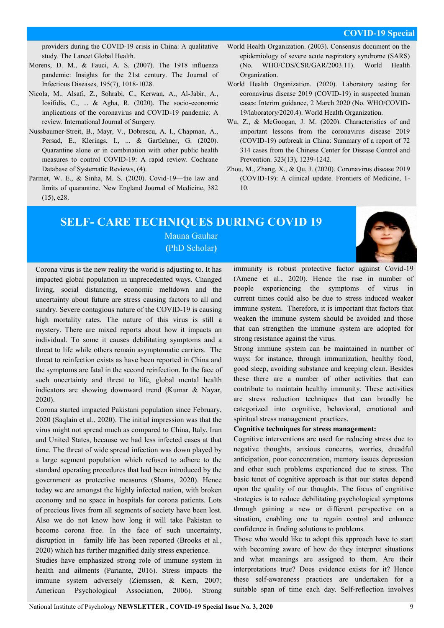providers during the COVID-19 crisis in China: A qualitative study. The Lancet Global Health.

- Morens, D. M., & Fauci, A. S. (2007). The 1918 influenza pandemic: Insights for the 21st century. The Journal of Infectious Diseases, 195(7), 1018-1028.
- Nicola, M., Alsafi, Z., Sohrabi, C., Kerwan, A., Al-Jabir, A., Iosifidis, C., ... & Agha, R. (2020). The socio-economic implications of the coronavirus and COVID-19 pandemic: A review. International Journal of Surgery.
- Nussbaumer‐Streit, B., Mayr, V., Dobrescu, A. I., Chapman, A., Persad, E., Klerings, I., ... & Gartlehner, G. (2020). Quarantine alone or in combination with other public health measures to control COVID‐19: A rapid review. Cochrane Database of Systematic Reviews, (4).
- Parmet, W. E., & Sinha, M. S. (2020). Covid-19—the law and limits of quarantine. New England Journal of Medicine, 382 (15), e28.
- World Health Organization. (2003). Consensus document on the epidemiology of severe acute respiratory syndrome (SARS) (No. WHO/CDS/CSR/GAR/2003.11). World Health Organization.
- World Health Organization. (2020). Laboratory testing for coronavirus disease 2019 (COVID-19) in suspected human cases: Interim guidance, 2 March 2020 (No. WHO/COVID-19/laboratory/2020.4). World Health Organization.
- Wu, Z., & McGoogan, J. M. (2020). Characteristics of and important lessons from the coronavirus disease 2019 (COVID-19) outbreak in China: Summary of a report of 72 314 cases from the Chinese Center for Disease Control and Prevention. 323(13), 1239-1242.
- Zhou, M., Zhang, X., & Qu, J. (2020). Coronavirus disease 2019 (COVID-19): A clinical update. Frontiers of Medicine, 1- 10.

# **SELF- CARE TECHNIQUES DURING COVID 19**

Mauna Gauhar **(**PhD Scholar**)**

Corona virus is the new reality the world is adjusting to. It has impacted global population in unprecedented ways. Changed living, social distancing, economic meltdown and the uncertainty about future are stress causing factors to all and sundry. Severe contagious nature of the COVID-19 is causing high mortality rates. The nature of this virus is still a mystery. There are mixed reports about how it impacts an individual. To some it causes debilitating symptoms and a threat to life while others remain asymptomatic carriers. The threat to reinfection exists as have been reported in China and the symptoms are fatal in the second reinfection. In the face of such uncertainty and threat to life, global mental health indicators are showing downward trend (Kumar & Nayar, 2020).

Corona started impacted Pakistani population since February, 2020 (Saqlain et al., 2020). The initial impression was that the virus might not spread much as compared to China, Italy, Iran and United States, because we had less infected cases at that time. The threat of wide spread infection was down played by a large segment population which refused to adhere to the standard operating procedures that had been introduced by the government as protective measures (Shams, 2020). Hence today we are amongst the highly infected nation, with broken economy and no space in hospitals for corona patients. Lots of precious lives from all segments of society have been lost. Also we do not know how long it will take Pakistan to become corona free. In the face of such uncertainty, disruption in family life has been reported (Brooks et al., 2020) which has further magnified daily stress experience.

Studies have emphasized strong role of immune system in health and ailments (Pariante, 2016). Stress impacts the immune system adversely (Ziemssen, & Kern, 2007; American Psychological Association, 2006). Strong immunity is robust protective factor against Covid-19 (Amene et al., 2020). Hence the rise in number of people experiencing the symptoms of virus in current times could also be due to stress induced weaker immune system. Therefore, it is important that factors that weaken the immune system should be avoided and those that can strengthen the immune system are adopted for strong resistance against the virus.

Strong immune system can be maintained in number of ways; for instance, through immunization, healthy food, good sleep, avoiding substance and keeping clean. Besides these there are a number of other activities that can contribute to maintain healthy immunity. These activities are stress reduction techniques that can broadly be categorized into cognitive, behavioral, emotional and spiritual stress management practices.

#### **Cognitive techniques for stress management:**

Cognitive interventions are used for reducing stress due to negative thoughts, anxious concerns, worries, dreadful anticipation, poor concentration, memory issues depression and other such problems experienced due to stress. The basic tenet of cognitive approach is that our states depend upon the quality of our thoughts. The focus of cognitive strategies is to reduce debilitating psychological symptoms through gaining a new or different perspective on a situation, enabling one to regain control and enhance confidence in finding solutions to problems.

Those who would like to adopt this approach have to start with becoming aware of how do they interpret situations and what meanings are assigned to them. Are their interpretations true? Does evidence exists for it? Hence these self-awareness practices are undertaken for a suitable span of time each day. Self-reflection involves